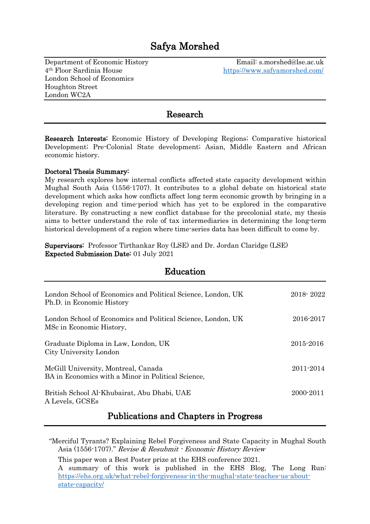# Safya Morshed

Department of Economic History Email: s.morshed@lse.ac.uk 4<sup>th</sup> Floor Sardinia House https://www.safyamorshed.com/ London School of Economics Houghton Street London WC2A

#### Research

Research Interests: Economic History of Developing Regions; Comparative historical Development; Pre-Colonial State development; Asian, Middle Eastern and African economic history.

#### Doctoral Thesis Summary:

My research explores how internal conflicts affected state capacity development within Mughal South Asia (1556-1707). It contributes to a global debate on historical state development which asks how conflicts affect long term economic growth by bringing in a developing region and time-period which has yet to be explored in the comparative literature. By constructing a new conflict database for the precolonial state, my thesis aims to better understand the role of tax intermediaries in determining the long-term historical development of a region where time-series data has been difficult to come by.

Supervisors: Professor Tirthankar Roy (LSE) and Dr. Jordan Claridge (LSE) Expected Submission Date: 01 July 2021

| Education                                                                                 |               |
|-------------------------------------------------------------------------------------------|---------------|
| London School of Economics and Political Science, London, UK<br>Ph.D. in Economic History | 2018-2022     |
| London School of Economics and Political Science, London, UK<br>MSc in Economic History,  | 2016-2017     |
| Graduate Diploma in Law, London, UK<br>City University London                             | 2015-2016     |
| McGill University, Montreal, Canada<br>BA in Economics with a Minor in Political Science, | $2011 - 2014$ |
| British School Al-Khubairat, Abu Dhabi, UAE<br>A Levels, GCSEs                            | 2000-2011     |

Publications and Chapters in Progress

"Merciful Tyrants? Explaining Rebel Forgiveness and State Capacity in Mughal South Asia (1556-1707)." Revise & Resubmit - Economic History Review

This paper won a Best Poster prize at the EHS conference 2021.

A summary of this work is published in the EHS Blog, The Long Run: [https://ehs.org.uk/what-rebel-forgiveness-in-the-mughal-state-teaches-us-about](https://ehs.org.uk/what-rebel-forgiveness-in-the-mughal-state-teaches-us-about-state-capacity/)[state-capacity/](https://ehs.org.uk/what-rebel-forgiveness-in-the-mughal-state-teaches-us-about-state-capacity/)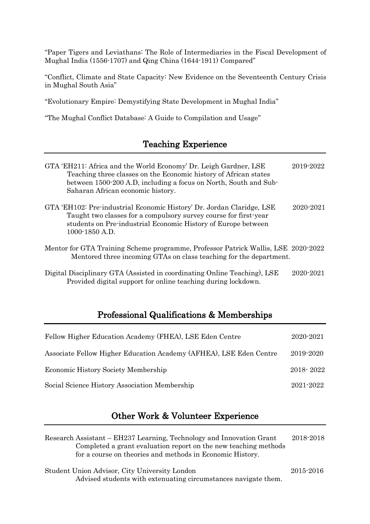"Paper Tigers and Leviathans: The Role of Intermediaries in the Fiscal Development of Mughal India (1556-1707) and Qing China (1644-1911) Compared"

"Conflict, Climate and State Capacity: New Evidence on the Seventeenth Century Crisis in Mughal South Asia"

"Evolutionary Empire: Demystifying State Development in Mughal India"

"The Mughal Conflict Database: A Guide to Compilation and Usage"

## Teaching Experience

| GTA 'EH211: Africa and the World Economy' Dr. Leigh Gardner, LSE<br>Teaching three classes on the Economic history of African states<br>between 1500-200 A.D, including a focus on North, South and Sub-<br>Saharan African economic history. | 2019-2022 |
|-----------------------------------------------------------------------------------------------------------------------------------------------------------------------------------------------------------------------------------------------|-----------|
| GTA 'EH102: Pre-industrial Economic History' Dr. Jordan Claridge, LSE<br>Taught two classes for a compulsory survey course for first-year<br>students on Pre-industrial Economic History of Europe between<br>1000-1850 A.D.                  | 2020-2021 |
| Mentor for GTA Training Scheme programme, Professor Patrick Wallis, LSE 2020-2022<br>Mentored three incoming GTAs on class teaching for the department.                                                                                       |           |
| Digital Disciplinary GTA (Assisted in coordinating Online Teaching), LSE<br>Provided digital support for online teaching during lockdown.                                                                                                     | 2020-2021 |

## Professional Qualifications & Memberships

| Fellow Higher Education Academy (FHEA), LSE Eden Centre            | 2020-2021 |
|--------------------------------------------------------------------|-----------|
| Associate Fellow Higher Education Academy (AFHEA), LSE Eden Centre | 2019-2020 |
| Economic History Society Membership                                | 2018-2022 |
| Social Science History Association Membership                      | 2021-2022 |

# Other Work & Volunteer Experience

| Research Assistant – EH237 Learning, Technology and Innovation Grant | 2018-2018 |
|----------------------------------------------------------------------|-----------|
| Completed a grant evaluation report on the new teaching methods      |           |
| for a course on theories and methods in Economic History.            |           |
| Student Union Advisor, City University London                        | 2015-2016 |
| Advised students with extenuating circumstances navigate them.       |           |